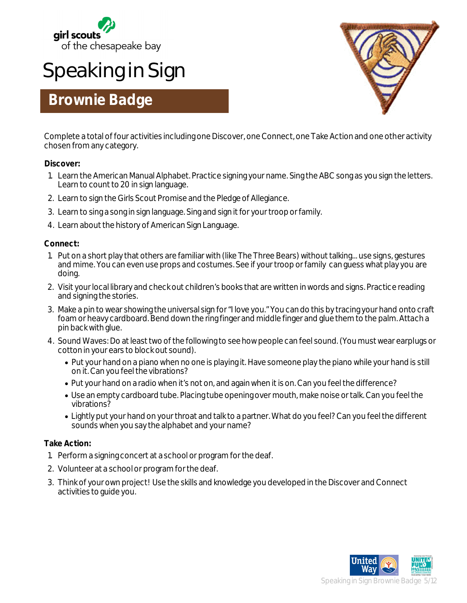

# **Speaking in Sign**

### **Brownie Badge**



Complete a total of four activities including one Discover, one Connect, one Take Action and one other activity chosen from any category.

#### **Discover:**

- 1. Learn the American Manual Alphabet. Practice signing your name. Sing the ABC song as you sign the letters. Learn to count to 20 in sign language.
- 2. Learn to sign the Girls Scout Promise and the Pledge of Allegiance.
- 3. Learn to sing a song in sign language. Sing and sign it for your troop or family.
- 4. Learn about the history of American Sign Language.

#### **Connect:**

- 1. Put on a short play that others are familiar with (like The Three Bears) without talking... use signs, gestures and mime. You can even use props and costumes. See if your troop or family can guess what play you are doing.
- 2. Visit your local library and check out children's books that are written in words and signs. Practice reading and signing the stories.
- 3. Make a pin to wear showing the universal sign for "I love you." You can do this by tracing your hand onto craft foam or heavy cardboard. Bend down the ring finger and middle finger and glue them to the palm. Attach a pin back with glue.
- 4. Sound Waves: Do at least two of the following to see how people can feel sound. (You must wear earplugs or cotton in your ears to block out sound).
	- Put your hand on a piano when no one is playing it. Have someone play the piano while your hand is still on it. Can you feel the vibrations?
	- Put your hand on a radio when it's not on, and again when it is on. Can you feel the difference?
	- Use an empty cardboard tube. Placing tube opening over mouth, make noise or talk. Can you feel the vibrations?
	- Lightly put your hand on your throat and talk to a partner. What do you feel? Can you feel the different sounds when you say the alphabet and your name?

#### **Take Action:**

- 1. Perform a signing concert at a school or program for the deaf.
- 2. Volunteer at a school or program for the deaf.
- 3. Think of your own project! Use the skills and knowledge you developed in the Discover and Connect activities to guide you.

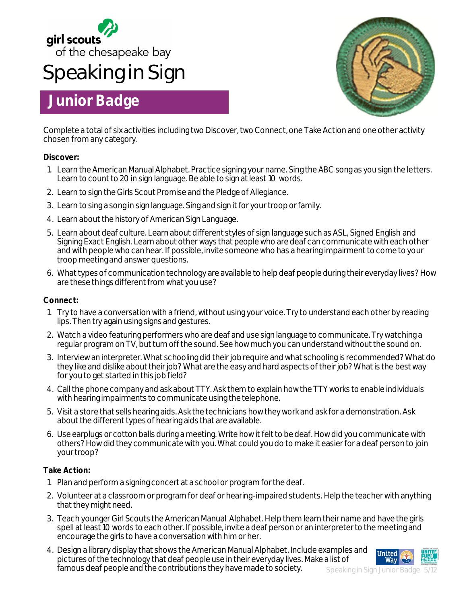

# **Speaking in Sign**

## **Junior Badge**



Complete a total of six activities including two Discover, two Connect, one Take Action and one other activity chosen from any category.

#### **Discover:**

- 1. Learn the American Manual Alphabet. Practice signing your name. Sing the ABC song as you sign the letters. Learn to count to 20 in sign language. Be able to sign at least 10 words.
- 2. Learn to sign the Girls Scout Promise and the Pledge of Allegiance.
- 3. Learn to sing a song in sign language. Sing and sign it for your troop or family.
- 4. Learn about the history of American Sign Language.
- 5. Learn about deaf culture. Learn about different styles of sign language such as ASL, Signed English and Signing Exact English. Learn about other ways that people who are deaf can communicate with each other and with people who can hear. If possible, invite someone who has a hearing impairment to come to your troop meeting and answer questions.
- 6. What types of communication technology are available to help deaf people during their everyday lives? How are these things different from what you use?

#### **Connect:**

- 1. Try to have a conversation with a friend, without using your voice. Try to understand each other by reading lips. Then try again using signs and gestures.
- 2. Watch a video featuring performers who are deaf and use sign language to communicate. Try watching a regular program on TV, but turn off the sound. See how much you can understand without the sound on.
- 3. Interview an interpreter. What schooling did their job require and what schooling is recommended? What do they like and dislike about their job? What are the easy and hard aspects of their job? What is the best way for you to get started in this job field?
- 4. Call the phone company and ask about TTY. Ask them to explain how the TTY works to enable individuals with hearing impairments to communicate using the telephone.
- 5. Visit a store that sells hearing aids. Ask the technicians how they work and ask for a demonstration. Ask about the different types of hearing aids that are available.
- 6. Use earplugs or cotton balls during a meeting. Write how it felt to be deaf. How did you communicate with others? How did they communicate with you. What could you do to make it easier for a deaf person to join your troop?

#### **Take Action:**

- 1. Plan and perform a signing concert at a school or program for the deaf.
- 2. Volunteer at a classroom or program for deaf or hearing-impaired students. Help the teacher with anything that they might need.
- 3. Teach younger Girl Scouts the American Manual Alphabet. Help them learn their name and have the girls spell at least 10 words to each other. If possible, invite a deaf person or an interpreter to the meeting and encourage the girls to have a conversation with him or her.
- 4. Design a library display that shows the American Manual Alphabet. Include examples and pictures of the technology that deaf people use in their everyday lives. Make a list of famous deaf people and the contributions they have made to society.



Speaking in Sign Junior Badge 5/12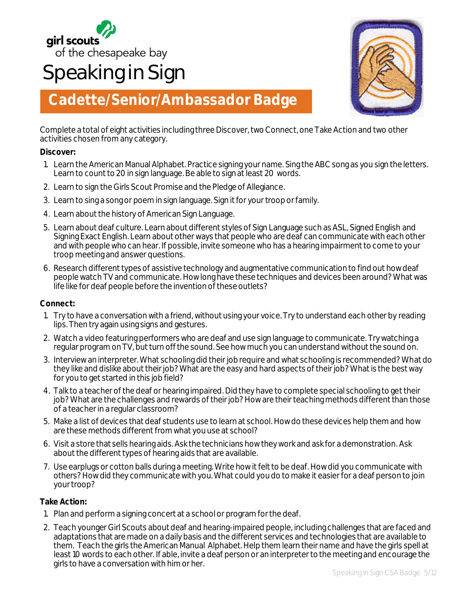

# **Speaking in Sign**



## **Cadette/Senior/Ambassador Badge**

Complete a total of eight activities including three Discover, two Connect, one Take Action and two other activities chosen from any category.

#### **Discover:**

- 1. Learn the American Manual Alphabet. Practice signing your name. Sing the ABC song as you sign the letters. Learn to count to 20 in sign language. Be able to sign at least 20 words.
- 2. Learn to sign the Girls Scout Promise and the Pledge of Allegiance.
- 3. Learn to sing a song or poem in sign language. Sign it for your troop or family.
- 4. Learn about the history of American Sign Language.
- 5. Learn about deaf culture. Learn about different styles of Sign Language such as ASL, Signed English and Signing Exact English. Learn about other ways that people who are deaf can communicate with each other and with people who can hear. If possible, invite someone who has a hearing impairment to come to your troop meeting and answer questions.
- 6. Research different types of assistive technology and augmentative communication to find out how deaf people watch TV and communicate. How long have these techniques and devices been around? What was life like for deaf people before the invention of these outlets?

#### **Connect:**

- 1. Try to have a conversation with a friend, without using your voice. Try to understand each other by reading lips. Then try again using signs and gestures.
- 2. Watch a video featuring performers who are deaf and use sign language to communicate. Try watching a regular program on TV, but turn off the sound. See how much you can understand without the sound on.
- 3. Interview an interpreter. What schooling did their job require and what schooling is recommended? What do they like and dislike about their job? What are the easy and hard aspects of their job? What is the best way for you to get started in this job field?
- 4. Talk to a teacher of the deaf or hearing impaired. Did they have to complete special schooling to get their job? What are the challenges and rewards of their job? How are their teaching methods different than those of a teacher in a regular classroom?
- 5. Make a list of devices that deaf students use to learn at school. How do these devices help them and how are these methods different from what you use at school?
- 6. Visit a store that sells hearing aids. Ask the technicians how they work and ask for a demonstration. Ask about the different types of hearing aids that are available.
- 7. Use earplugs or cotton balls during a meeting. Write how it felt to be deaf. How did you communicate with others? How did they communicate with you. What could you do to make it easier for a deaf person to join your troop?

#### **Take Action:**

- 1. Plan and perform a signing concert at a school or program for the deaf.
- 2. Teach younger Girl Scouts about deaf and hearing-impaired people, including challenges that are faced and adaptations that are made on a daily basis and the different services and technologies that are available to them. Teach the girls the American Manual Alphabet. Help them learn their name and have the girls spell at least 10 words to each other. If able, invite a deaf person or an interpreter to the meeting and encourage the girls to have a conversation with him or her.